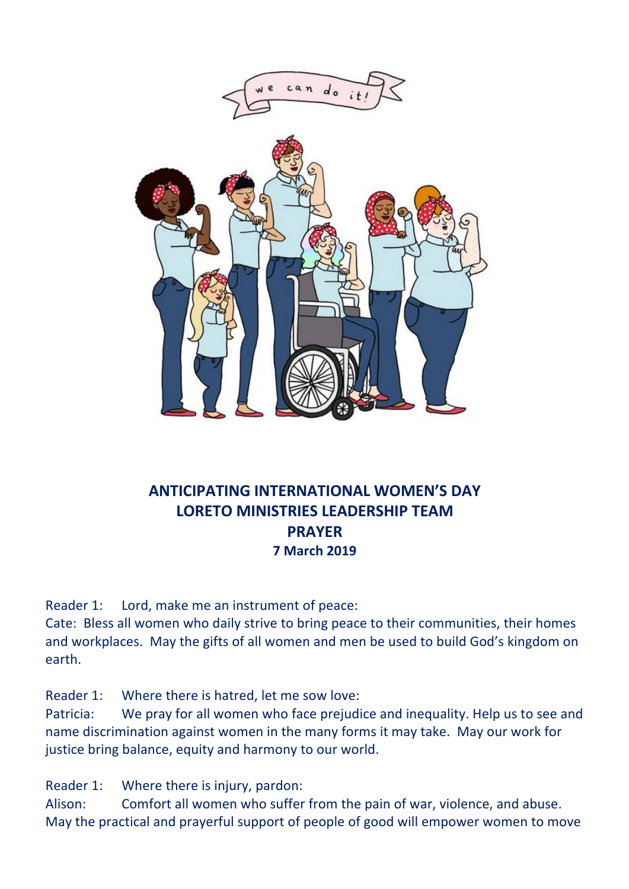

## **ANTICIPATING INTERNATIONAL WOMEN'S DAY LORETO MINISTRIES LEADERSHIP TEAM PRAYER 7 March 2019**

Reader 1: Lord, make me an instrument of peace:

Cate: Bless all women who daily strive to bring peace to their communities, their homes and workplaces. May the gifts of all women and men be used to build God's kingdom on earth.

Reader 1: Where there is hatred, let me sow love:

Patricia: We pray for all women who face prejudice and inequality. Help us to see and name discrimination against women in the many forms it may take. May our work for justice bring balance, equity and harmony to our world.

Reader 1: Where there is injury, pardon:

Alison: Comfort all women who suffer from the pain of war, violence, and abuse. May the practical and prayerful support of people of good will empower women to move